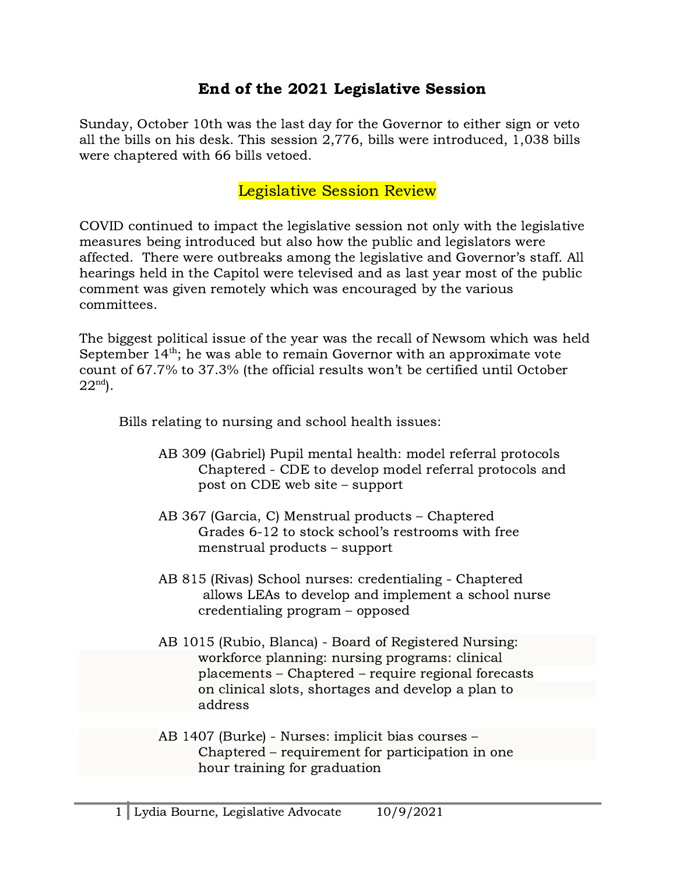## End of the 2021 Legislative Session

Sunday, October 10th was the last day for the Governor to either sign or veto all the bills on his desk. This session 2,776, bills were introduced, 1,038 bills were chaptered with 66 bills vetoed.

## Legislative Session Review

COVID continued to impact the legislative session not only with the legislative measures being introduced but also how the public and legislators were affected. There were outbreaks among the legislative and Governor's staff. All hearings held in the Capitol were televised and as last year most of the public comment was given remotely which was encouraged by the various committees.

The biggest political issue of the year was the recall of Newsom which was held September 14<sup>th</sup>; he was able to remain Governor with an approximate vote count of 67.7% to 37.3% (the official results won't be certified until October  $22^{\text{nd}}$ ).

Bills relating to nursing and school health issues:

- AB 309 (Gabriel) Pupil mental health: model referral protocols Chaptered - CDE to develop model referral protocols and post on CDE web site – support
- AB 367 (Garcia, C) Menstrual products Chaptered Grades 6-12 to stock school's restrooms with free menstrual products – support
- AB 815 (Rivas) School nurses: credentialing Chaptered allows LEAs to develop and implement a school nurse credentialing program – opposed
- AB 1015 (Rubio, Blanca) Board of Registered Nursing: workforce planning: nursing programs: clinical placements – Chaptered – require regional forecasts on clinical slots, shortages and develop a plan to address
- AB 1407 (Burke) Nurses: implicit bias courses Chaptered – requirement for participation in one hour training for graduation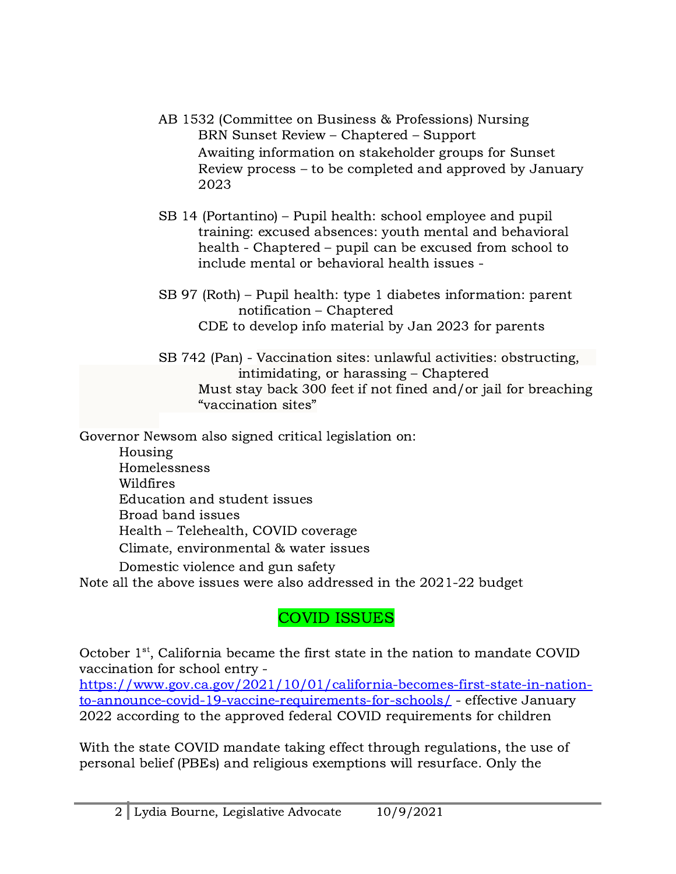- AB 1532 (Committee on Business & Professions) Nursing BRN Sunset Review – Chaptered – Support Awaiting information on stakeholder groups for Sunset Review process – to be completed and approved by January 2023
- SB 14 (Portantino) Pupil health: school employee and pupil training: excused absences: youth mental and behavioral health - Chaptered – pupil can be excused from school to include mental or behavioral health issues -
- SB 97 (Roth) Pupil health: type 1 diabetes information: parent notification – Chaptered CDE to develop info material by Jan 2023 for parents
- SB 742 (Pan) Vaccination sites: unlawful activities: obstructing, intimidating, or harassing – Chaptered Must stay back 300 feet if not fined and/or jail for breaching "vaccination sites"

Governor Newsom also signed critical legislation on:

Housing Homelessness Wildfires Education and student issues Broad band issues Health – Telehealth, COVID coverage Climate, environmental & water issues Domestic violence and gun safety

Note all the above issues were also addressed in the 2021-22 budget

## COVID ISSUES

October 1<sup>st</sup>, California became the first state in the nation to mandate COVID vaccination for school entry -

[https://www.gov.ca.gov/2021/10/01/california-becomes-first-state-in-nation](https://www.gov.ca.gov/2021/10/01/california-becomes-first-state-in-nation-to-announce-covid-19-vaccine-requirements-for-schools/)[to-announce-covid-19-vaccine-requirements-for-schools/](https://www.gov.ca.gov/2021/10/01/california-becomes-first-state-in-nation-to-announce-covid-19-vaccine-requirements-for-schools/) - effective January 2022 according to the approved federal COVID requirements for children

With the state COVID mandate taking effect through regulations, the use of personal belief (PBEs) and religious exemptions will resurface. Only the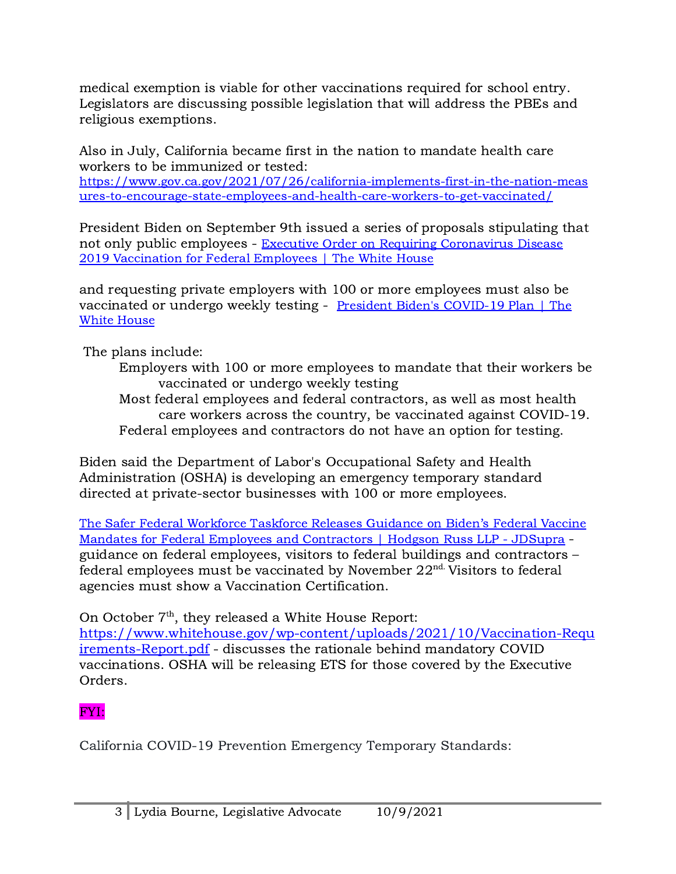medical exemption is viable for other vaccinations required for school entry. Legislators are discussing possible legislation that will address the PBEs and religious exemptions.

Also in July, California became first in the nation to mandate health care workers to be immunized or tested:

[https://www.gov.ca.gov/2021/07/26/california-implements-first-in-the-nation-meas](https://www.gov.ca.gov/2021/07/26/california-implements-first-in-the-nation-measures-to-encourage-state-employees-and-health-care-workers-to-get-vaccinated/) [ures-to-encourage-state-employees-and-health-care-workers-to-get-vaccinated/](https://www.gov.ca.gov/2021/07/26/california-implements-first-in-the-nation-measures-to-encourage-state-employees-and-health-care-workers-to-get-vaccinated/)

President Biden on September 9th issued a series of proposals stipulating that not only public employees - Executive Order on Requiring [Coronavirus](https://www.whitehouse.gov/briefing-room/presidential-actions/2021/09/09/executive-order-on-requiring-coronavirus-disease-2019-vaccination-for-federal-employees/) Disease 2019 [Vaccination](https://www.whitehouse.gov/briefing-room/presidential-actions/2021/09/09/executive-order-on-requiring-coronavirus-disease-2019-vaccination-for-federal-employees/) for Federal Employees | The White House

and requesting private employers with 100 or more employees must also be vaccinated or undergo weekly testing - President Biden's [COVID-19](https://www.whitehouse.gov/covidplan/) Plan | The White [House](https://www.whitehouse.gov/covidplan/)

The plans include:

- Employers with 100 or more employees to mandate that their workers be vaccinated or undergo weekly testing
- Most federal employees and federal contractors, as well as most health care workers across the country, be vaccinated against COVID-19. Federal employees and contractors do not have an option for testing.

Biden said the Department of Labor's Occupational Safety and Health Administration (OSHA) is developing an emergency temporary standard directed at private-sector businesses with 100 or more employees.

The Safer Federal [Workforce](https://www.jdsupra.com/legalnews/the-safer-federal-workforce-taskforce-2554952/) Taskforce Releases Guidance on Biden's Federal Vaccine Mandates for Federal Employees and [Contractors](https://www.jdsupra.com/legalnews/the-safer-federal-workforce-taskforce-2554952/) | Hodgson Russ LLP - JDSupra guidance on federal employees, visitors to federal buildings and contractors –  $\overline{B}$  federal employees must be vaccinated by November 22<sup>nd.</sup> Visitors to federal agencies must show a Vaccination Certification.

On October  $7<sup>th</sup>$ , they released a White House Report:

[https://www.whitehouse.gov/wp-content/uploads/2021/10/Vaccination-Requ](https://www.whitehouse.gov/wp-content/uploads/2021/10/Vaccination-Requirements-Report.pdf) [irements-Report.pdf](https://www.whitehouse.gov/wp-content/uploads/2021/10/Vaccination-Requirements-Report.pdf) - discusses the rationale behind mandatory COVID vaccinations. OSHA will be releasing ETS for those covered by the Executive Orders.

## FYI:

California COVID-19 Prevention Emergency Temporary Standards: